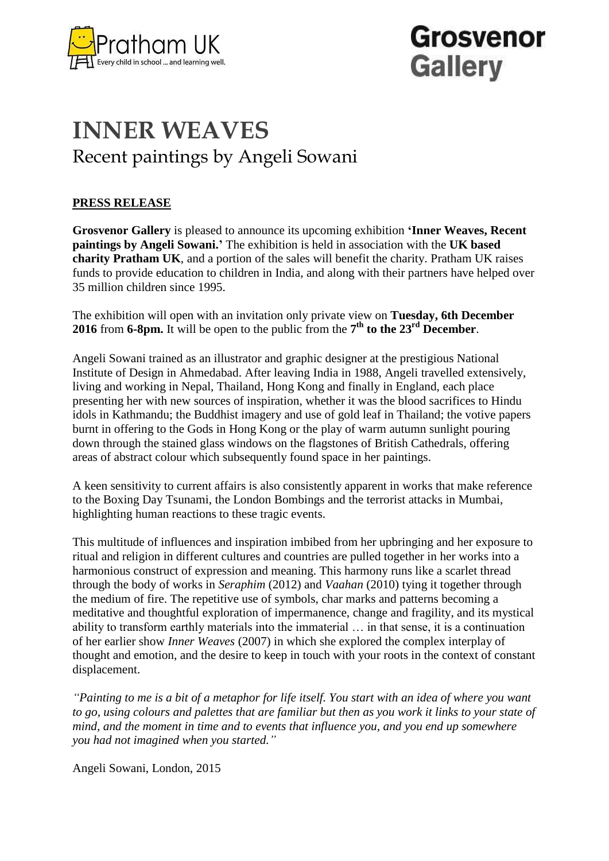

# Grosvenor **Gallery**

### **INNER WEAVES** Recent paintings by Angeli Sowani

### **PRESS RELEASE**

**Grosvenor Gallery** is pleased to announce its upcoming exhibition **'Inner Weaves, Recent paintings by Angeli Sowani.'** The exhibition is held in association with the **UK based charity Pratham UK**, and a portion of the sales will benefit the charity. Pratham UK raises funds to provide education to children in India, and along with their partners have helped over 35 million children since 1995.

The exhibition will open with an invitation only private view on **Tuesday, 6th December 2016** from **6-8pm.** It will be open to the public from the  $7<sup>th</sup>$  to the  $23<sup>rd</sup>$  December.

Angeli Sowani trained as an illustrator and graphic designer at the prestigious National Institute of Design in Ahmedabad. After leaving India in 1988, Angeli travelled extensively, living and working in Nepal, Thailand, Hong Kong and finally in England, each place presenting her with new sources of inspiration, whether it was the blood sacrifices to Hindu idols in Kathmandu; the Buddhist imagery and use of gold leaf in Thailand; the votive papers burnt in offering to the Gods in Hong Kong or the play of warm autumn sunlight pouring down through the stained glass windows on the flagstones of British Cathedrals, offering areas of abstract colour which subsequently found space in her paintings.

A keen sensitivity to current affairs is also consistently apparent in works that make reference to the Boxing Day Tsunami, the London Bombings and the terrorist attacks in Mumbai, highlighting human reactions to these tragic events.

This multitude of influences and inspiration imbibed from her upbringing and her exposure to ritual and religion in different cultures and countries are pulled together in her works into a harmonious construct of expression and meaning. This harmony runs like a scarlet thread through the body of works in *Seraphim* (2012) and *Vaahan* (2010) tying it together through the medium of fire. The repetitive use of symbols, char marks and patterns becoming a meditative and thoughtful exploration of impermanence, change and fragility, and its mystical ability to transform earthly materials into the immaterial … in that sense, it is a continuation of her earlier show *Inner Weaves* (2007) in which she explored the complex interplay of thought and emotion, and the desire to keep in touch with your roots in the context of constant displacement.

*"Painting to me is a bit of a metaphor for life itself. You start with an idea of where you want to go, using colours and palettes that are familiar but then as you work it links to your state of mind, and the moment in time and to events that influence you, and you end up somewhere you had not imagined when you started."*

Angeli Sowani, London, 2015